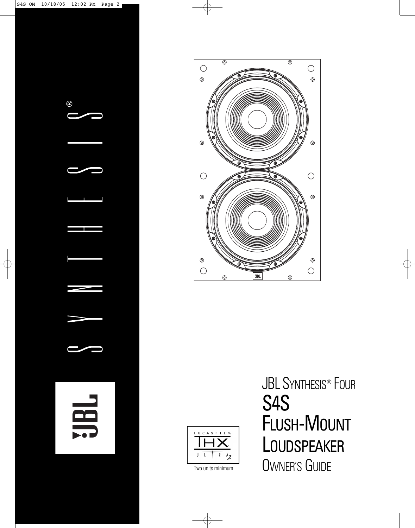





**JBL SYNTHESIS® FOUR** S4S FLUSH-MOUNT **LOUDSPEAKER** Two units minimum **OWNER'S GUIDE**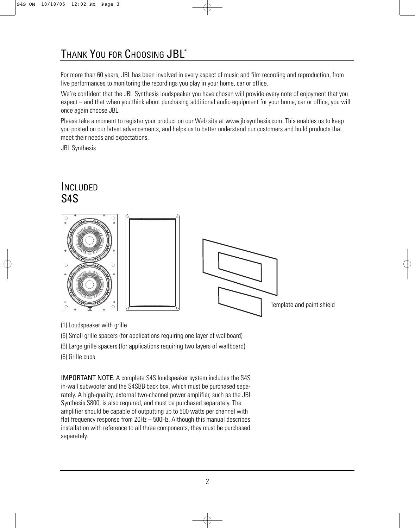# THANK YOU FOR CHOOSING JBL®

For more than 60 years, JBL has been involved in every aspect of music and film recording and reproduction, from live performances to monitoring the recordings you play in your home, car or office.

We're confident that the JBL Synthesis loudspeaker you have chosen will provide every note of enjoyment that you expect – and that when you think about purchasing additional audio equipment for your home, car or office, you will once again choose JBL.

Please take a moment to register your product on our Web site at www.jblsynthesis.com. This enables us to keep you posted on our latest advancements, and helps us to better understand our customers and build products that meet their needs and expectations.

JBL Synthesis

### INCLUDED S4S



(1) Loudspeaker with grille

(6) Small grille spacers (for applications requiring one layer of wallboard)

(6) Large grille spacers (for applications requiring two layers of wallboard)

(6) Grille cups

IMPORTANT NOTE: A complete S4S loudspeaker system includes the S4S in-wall subwoofer and the S4SBB back box, which must be purchased separately. A high-quality, external two-channel power amplifier, such as the JBL Synthesis S800, is also required, and must be purchased separately. The amplifier should be capable of outputting up to 500 watts per channel with flat frequency response from 20Hz – 500Hz. Although this manual describes installation with reference to all three components, they must be purchased separately.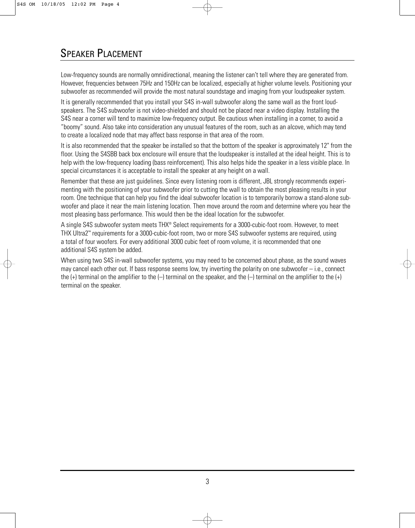## SPEAKER PLACEMENT

Low-frequency sounds are normally omnidirectional, meaning the listener can't tell where they are generated from. However, frequencies between 75Hz and 150Hz can be localized, especially at higher volume levels. Positioning your subwoofer as recommended will provide the most natural soundstage and imaging from your loudspeaker system.

It is generally recommended that you install your S4S in-wall subwoofer along the same wall as the front loudspeakers. The S4S subwoofer is not video-shielded and should not be placed near a video display. Installing the S4S near a corner will tend to maximize low-frequency output. Be cautious when installing in a corner, to avoid a "boomy" sound. Also take into consideration any unusual features of the room, such as an alcove, which may tend to create a localized node that may affect bass response in that area of the room.

It is also recommended that the speaker be installed so that the bottom of the speaker is approximately 12" from the floor. Using the S4SBB back box enclosure will ensure that the loudspeaker is installed at the ideal height. This is to help with the low-frequency loading (bass reinforcement). This also helps hide the speaker in a less visible place. In special circumstances it is acceptable to install the speaker at any height on a wall.

Remember that these are just guidelines. Since every listening room is different, JBL strongly recommends experimenting with the positioning of your subwoofer prior to cutting the wall to obtain the most pleasing results in your room. One technique that can help you find the ideal subwoofer location is to temporarily borrow a stand-alone subwoofer and place it near the main listening location. Then move around the room and determine where you hear the most pleasing bass performance. This would then be the ideal location for the subwoofer.

A single S4S subwoofer system meets THX® Select requirements for a 3000-cubic-foot room. However, to meet THX Ultra2™ requirements for a 3000-cubic-foot room, two or more S4S subwoofer systems are required, using a total of four woofers. For every additional 3000 cubic feet of room volume, it is recommended that one additional S4S system be added.

When using two S4S in-wall subwoofer systems, you may need to be concerned about phase, as the sound waves may cancel each other out. If bass response seems low, try inverting the polarity on one subwoofer  $-$  i.e., connect the  $(+)$  terminal on the amplifier to the  $(-)$  terminal on the speaker, and the  $(-)$  terminal on the amplifier to the  $(+)$ terminal on the speaker.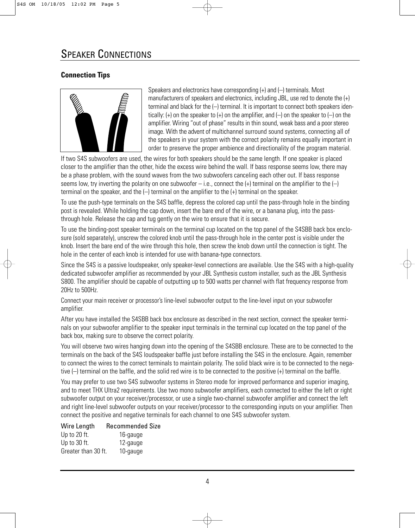### **Connection Tips**



Speakers and electronics have corresponding (+) and (–) terminals. Most manufacturers of speakers and electronics, including JBL, use red to denote the (+) terminal and black for the (–) terminal. It is important to connect both speakers identically: (+) on the speaker to (+) on the amplifier, and (–) on the speaker to (–) on the amplifier. Wiring "out of phase" results in thin sound, weak bass and a poor stereo image. With the advent of multichannel surround sound systems, connecting all of the speakers in your system with the correct polarity remains equally important in order to preserve the proper ambience and directionality of the program material.

If two S4S subwoofers are used, the wires for both speakers should be the same length. If one speaker is placed closer to the amplifier than the other, hide the excess wire behind the wall. If bass response seems low, there may be a phase problem, with the sound waves from the two subwoofers canceling each other out. If bass response seems low, try inverting the polarity on one subwoofer – i.e., connect the  $(+)$  terminal on the amplifier to the  $(-)$ terminal on the speaker, and the (–) terminal on the amplifier to the (+) terminal on the speaker.

To use the push-type terminals on the S4S baffle, depress the colored cap until the pass-through hole in the binding post is revealed. While holding the cap down, insert the bare end of the wire, or a banana plug, into the passthrough hole. Release the cap and tug gently on the wire to ensure that it is secure.

To use the binding-post speaker terminals on the terminal cup located on the top panel of the S4SBB back box enclosure (sold separately), unscrew the colored knob until the pass-through hole in the center post is visible under the knob. Insert the bare end of the wire through this hole, then screw the knob down until the connection is tight. The hole in the center of each knob is intended for use with banana-type connectors.

Since the S4S is a passive loudspeaker, only speaker-level connections are available. Use the S4S with a high-quality dedicated subwoofer amplifier as recommended by your JBL Synthesis custom installer, such as the JBL Synthesis S800. The amplifier should be capable of outputting up to 500 watts per channel with flat frequency response from 20Hz to 500Hz.

Connect your main receiver or processor's line-level subwoofer output to the line-level input on your subwoofer amplifier.

After you have installed the S4SBB back box enclosure as described in the next section, connect the speaker terminals on your subwoofer amplifier to the speaker input terminals in the terminal cup located on the top panel of the back box, making sure to observe the correct polarity.

You will observe two wires hanging down into the opening of the S4SBB enclosure. These are to be connected to the terminals on the back of the S4S loudspeaker baffle just before installing the S4S in the enclosure. Again, remember to connect the wires to the correct terminals to maintain polarity. The solid black wire is to be connected to the negative (–) terminal on the baffle, and the solid red wire is to be connected to the positive (+) terminal on the baffle.

You may prefer to use two S4S subwoofer systems in Stereo mode for improved performance and superior imaging, and to meet THX Ultra2 requirements. Use two mono subwoofer amplifiers, each connected to either the left or right subwoofer output on your receiver/processor, or use a single two-channel subwoofer amplifier and connect the left and right line-level subwoofer outputs on your receiver/processor to the corresponding inputs on your amplifier. Then connect the positive and negative terminals for each channel to one S4S subwoofer system.

| Wire Length         | <b>Recommended Size</b> |
|---------------------|-------------------------|
| Up to 20 ft.        | 16-gauge                |
| Up to 30 ft.        | 12-gauge                |
| Greater than 30 ft. | 10-gauge                |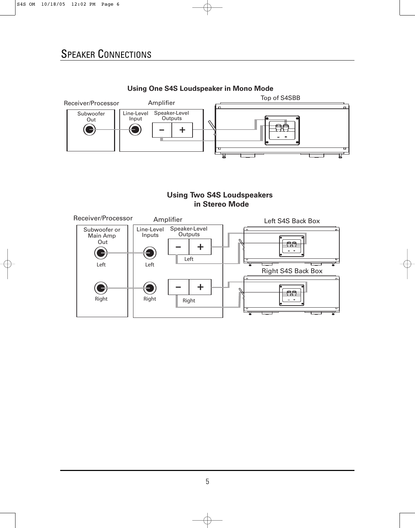

#### **Using One S4S Loudspeaker in Mono Mode**

### **Using Two S4S Loudspeakers n Stereo Mode**

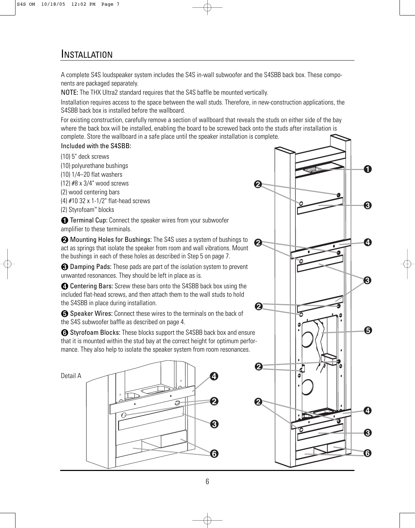### **INSTALLATION**

A complete S4S loudspeaker system includes the S4S in-wall subwoofer and the S4SBB back box. These components are packaged separately.

NOTE: The THX Ultra2 standard requires that the S4S baffle be mounted vertically.

Installation requires access to the space between the wall studs. Therefore, in new-construction applications, the S4SBB back box is installed before the wallboard.

For existing construction, carefully remove a section of wallboard that reveals the studs on either side of the bay where the back box will be installed, enabling the board to be screwed back onto the studs after installation is complete. Store the wallboard in a safe place until the speaker installation is complete.

#### Included with the S4SBB:

(10) 5" deck screws (10) polyurethane bushings (10) 1/4–20 flat washers (12) #8 x 3/4" wood screws (2) wood centering bars (4) #10 32 x 1-1/2" flat-head screws (2) Styrofoam™ blocks

**the Terminal Cup:** Connect the speaker wires from your subwoofer amplifier to these terminals.

**2** Mounting Holes for Bushings: The S4S uses a system of bushings to act as springs that isolate the speaker from room and wall vibrations. Mount the bushings in each of these holes as described in Step 5 on page 7.

<sup>2</sup> Damping Pads: These pads are part of the isolation system to prevent unwanted resonances. They should be left in place as is.

**4** Centering Bars: Screw these bars onto the S4SBB back box using the included flat-head screws, and then attach them to the wall studs to hold the S4SBB in place during installation.

**6** Speaker Wires: Connect these wires to the terminals on the back of the S4S subwoofer baffle as described on page 4.

5 Styrofoam Blocks: These blocks support the S4SBB back box and ensure that it is mounted within the stud bay at the correct height for optimum performance. They also help to isolate the speaker system from room resonances.



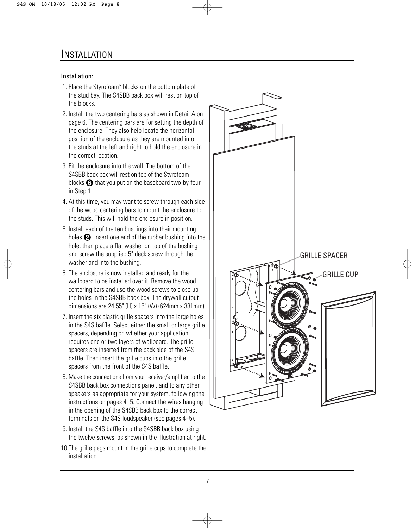#### Installation:

- 1. Place the Styrofoam™ blocks on the bottom plate of the stud bay. The S4SBB back box will rest on top of the blocks.
- 2. Install the two centering bars as shown in Detail A on page 6. The centering bars are for setting the depth of the enclosure. They also help locate the horizontal position of the enclosure as they are mounted into the studs at the left and right to hold the enclosure in the correct location.
- 3. Fit the enclosure into the wall. The bottom of the S4SBB back box will rest on top of the Styrofoam blocks  $\bigodot$  that you put on the baseboard two-by-four in Step 1.
- 4. At this time, you may want to screw through each side of the wood centering bars to mount the enclosure to the studs. This will hold the enclosure in position.
- 5. Install each of the ten bushings into their mounting holes  $\bigcirc$ . Insert one end of the rubber bushing into the hole, then place a flat washer on top of the bushing and screw the supplied 5" deck screw through the washer and into the bushing.
- 6. The enclosure is now installed and ready for the wallboard to be installed over it. Remove the wood centering bars and use the wood screws to close up the holes in the S4SBB back box. The drywall cutout dimensions are 24.55" (H) x 15" (W) (624mm x 381mm).
- 7. Insert the six plastic grille spacers into the large holes in the S4S baffle. Select either the small or large grille spacers, depending on whether your application requires one or two layers of wallboard. The grille spacers are inserted from the back side of the S4S baffle. Then insert the grille cups into the grille spacers from the front of the S4S baffle.
- 8. Make the connections from your receiver/amplifier to the S4SBB back box connections panel, and to any other speakers as appropriate for your system, following the instructions on pages 4–5. Connect the wires hanging in the opening of the S4SBB back box to the correct terminals on the S4S loudspeaker (see pages 4–5).
- 9. Install the S4S baffle into the S4SBB back box using the twelve screws, as shown in the illustration at right.
- 10.The grille pegs mount in the grille cups to complete the installation.

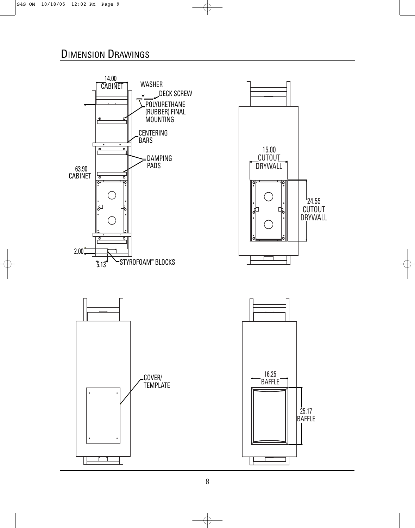## DIMENSION DRAWINGS

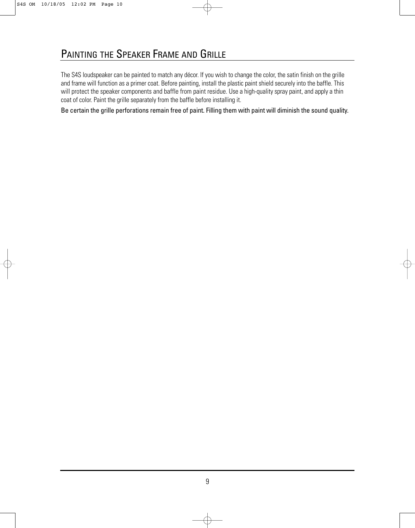The S4S loudspeaker can be painted to match any décor. If you wish to change the color, the satin finish on the grille and frame will function as a primer coat. Before painting, install the plastic paint shield securely into the baffle. This will protect the speaker components and baffle from paint residue. Use a high-quality spray paint, and apply a thin coat of color. Paint the grille separately from the baffle before installing it.

Be certain the grille perforations remain free of paint. Filling them with paint will diminish the sound quality.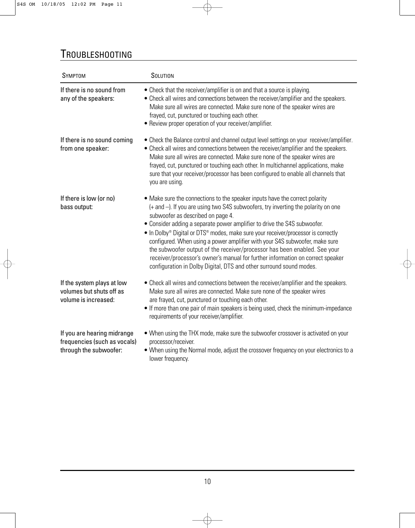# TROUBLESHOOTING

| <b>SYMPTOM</b>                                                                        | SOLUTION                                                                                                                                                                                                                                                                                                                                                                                                                                                                                                                                                                                                                                                                                                            |
|---------------------------------------------------------------------------------------|---------------------------------------------------------------------------------------------------------------------------------------------------------------------------------------------------------------------------------------------------------------------------------------------------------------------------------------------------------------------------------------------------------------------------------------------------------------------------------------------------------------------------------------------------------------------------------------------------------------------------------------------------------------------------------------------------------------------|
| If there is no sound from<br>any of the speakers:                                     | • Check that the receiver/amplifier is on and that a source is playing.<br>• Check all wires and connections between the receiver/amplifier and the speakers.<br>Make sure all wires are connected. Make sure none of the speaker wires are<br>frayed, cut, punctured or touching each other.<br>• Review proper operation of your receiver/amplifier.                                                                                                                                                                                                                                                                                                                                                              |
| If there is no sound coming<br>from one speaker:                                      | • Check the Balance control and channel output level settings on your receiver/amplifier.<br>• Check all wires and connections between the receiver/amplifier and the speakers.<br>Make sure all wires are connected. Make sure none of the speaker wires are<br>frayed, cut, punctured or touching each other. In multichannel applications, make<br>sure that your receiver/processor has been configured to enable all channels that<br>you are using.                                                                                                                                                                                                                                                           |
| If there is low (or no)<br>bass output:                                               | • Make sure the connections to the speaker inputs have the correct polarity<br>(+ and -). If you are using two S4S subwoofers, try inverting the polarity on one<br>subwoofer as described on page 4.<br>• Consider adding a separate power amplifier to drive the S4S subwoofer.<br>• In Dolby <sup>®</sup> Digital or DTS <sup>®</sup> modes, make sure your receiver/processor is correctly<br>configured. When using a power amplifier with your S4S subwoofer, make sure<br>the subwoofer output of the receiver/processor has been enabled. See your<br>receiver/processor's owner's manual for further information on correct speaker<br>configuration in Dolby Digital, DTS and other surround sound modes. |
| If the system plays at low<br>volumes but shuts off as<br>volume is increased:        | • Check all wires and connections between the receiver/amplifier and the speakers.<br>Make sure all wires are connected. Make sure none of the speaker wires<br>are frayed, cut, punctured or touching each other.<br>• If more than one pair of main speakers is being used, check the minimum-impedance<br>requirements of your receiver/amplifier.                                                                                                                                                                                                                                                                                                                                                               |
| If you are hearing midrange<br>frequencies (such as vocals)<br>through the subwoofer: | . When using the THX mode, make sure the subwoofer crossover is activated on your<br>processor/receiver.<br>• When using the Normal mode, adjust the crossover frequency on your electronics to a<br>lower frequency.                                                                                                                                                                                                                                                                                                                                                                                                                                                                                               |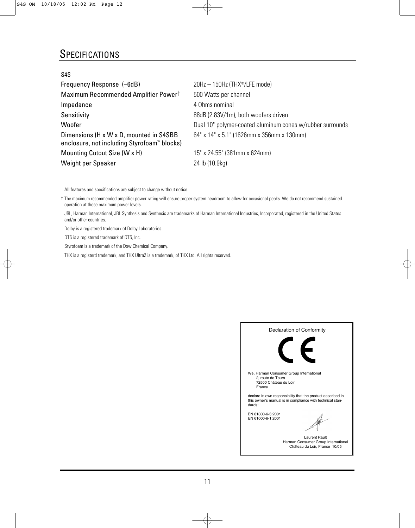### **SPECIFICATIONS**

| S4S                                                                                                |                                                           |
|----------------------------------------------------------------------------------------------------|-----------------------------------------------------------|
| Frequency Response (-6dB)                                                                          | $20Hz - 150Hz$ (THX <sup>®</sup> /LFE mode)               |
| Maximum Recommended Amplifier Power <sup>†</sup>                                                   | 500 Watts per channel                                     |
| Impedance                                                                                          | 4 Ohms nominal                                            |
| Sensitivity                                                                                        | 88dB (2.83V/1m), both woofers driven                      |
| Woofer                                                                                             | Dual 10" polymer-coated aluminum cones w/rubber surrounds |
| Dimensions (H x W x D, mounted in S4SBB<br>enclosure, not including Styrofoam <sup>™</sup> blocks) | 64" x 14" x 5.1" (1626mm x 356mm x 130mm)                 |
| Mounting Cutout Size (W x H)                                                                       | 15" x 24.55" (381mm x 624mm)                              |
| Weight per Speaker                                                                                 | 24 lb (10.9kg)                                            |

All features and specifications are subject to change without notice.

† The maximum recommended amplifier power rating will ensure proper system headroom to allow for occasional peaks. We do not recommend sustained operation at these maximum power levels.

JBL, Harman International, JBL Synthesis and Synthesis are trademarks of Harman International Industries, Incorporated, registered in the United States and/or other countries.

Dolby is a registered trademark of Dolby Laboratories.

DTS is a registered trademark of DTS, Inc.

Styrofoam is a trademark of the Dow Chemical Company.

THX is a registerd trademark, and THX Ultra2 is a trademark, of THX Ltd. All rights reserved.